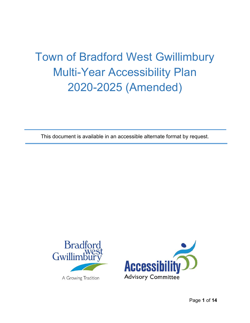# Town of Bradford West Gwillimbury Multi-Year Accessibility Plan 2020-2025 (Amended)

This document is available in an accessible alternate format by request.



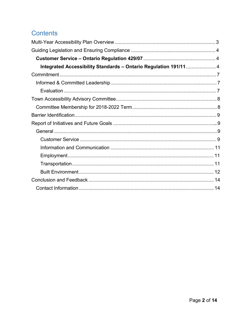# Contents

| Integrated Accessibility Standards - Ontario Regulation 191/11 4 |  |
|------------------------------------------------------------------|--|
|                                                                  |  |
|                                                                  |  |
|                                                                  |  |
|                                                                  |  |
|                                                                  |  |
|                                                                  |  |
|                                                                  |  |
|                                                                  |  |
|                                                                  |  |
|                                                                  |  |
|                                                                  |  |
|                                                                  |  |
|                                                                  |  |
|                                                                  |  |
|                                                                  |  |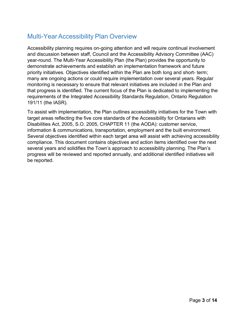# Multi-Year Accessibility Plan Overview

 Accessibility planning requires on-going attention and will require continual involvement and discussion between staff, Council and the Accessibility Advisory Committee (AAC) year-round. The Multi-Year Accessibility Plan (the Plan) provides the opportunity to many are ongoing actions or could require implementation over several years. Regular monitoring is necessary to ensure that relevant initiatives are included in the Plan and that progress is identified. The current focus of the Plan is dedicated to implementing the demonstrate achievements and establish an implementation framework and future priority initiatives. Objectives identified within the Plan are both long and short- term; requirements of the Integrated Accessibility Standards Regulation, Ontario Regulation 191/11 (the IASR).

 information & communications, transportation, employment and the built environment. To assist with implementation, the Plan outlines accessibility initiatives for the Town with target areas reflecting the five core standards of the Accessibility for Ontarians with Disabilities Act, 2005, S.O. 2005, CHAPTER 11 (the AODA): customer service, Several objectives identified within each target area will assist with achieving accessibility compliance. This document contains objectives and action items identified over the next several years and solidifies the Town's approach to accessibility planning. The Plan's progress will be reviewed and reported annually, and additional identified initiatives will be reported.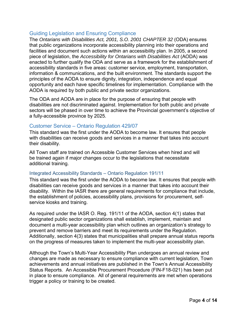# Guiding Legislation and Ensuring Compliance

 The *Ontarians with Disabilities Act, 2001, S.O. 2001 CHAPTER 32* (ODA) ensures enacted to further qualify the ODA and serve as a framework for the establishment of information & communications, and the built environment. The standards support the principles of the AODA to ensure dignity, integration, independence and equal opportunity and each have specific timelines for implementation. Compliance with the AODA is required by both public and private sector organizations. that public organizations incorporate accessibility planning into their operations and facilities and document such actions within an accessibility plan. In 2005, a second piece of legislation, the *Accessibility for Ontarians with Disabilities Act* (AODA) was accessibility standards in five areas: customer service, employment, transportation,

 a fully-accessible province by 2025. The ODA and AODA are in place for the purpose of ensuring that people with disabilities are not discriminated against. Implementation for both public and private sectors will be phased in over time to achieve the Provincial government's objective of

# Customer Service – Ontario Regulation 429/07

 This standard was the first under the AODA to become law. It ensures that people with disabilities can receive goods and services in a manner that takes into account their disability.

All Town staff are trained on Accessible Customer Services when hired and will be trained again if major changes occur to the legislations that necessitate additional training.

#### Integrated Accessibility Standards – Ontario Regulation 191/11

This standard was the first under the AODA to become law. It ensures that people with disabilities can receive goods and services in a manner that takes into account their disability. Within the IASR there are general requirements for compliance that include, the establishment of policies, accessibility plans, provisions for procurement, selfservice kiosks and training.

As required under the IASR O. Reg. 191/11 of the AODA, section 4(1) states that designated public sector organizations shall establish, implement, maintain and document a multi-year accessibility plan which outlines an organization's strategy to prevent and remove barriers and meet its requirements under the Regulation. Additionally, section 4(3) states that municipalities shall prepare annual status reports on the progress of measures taken to implement the multi-year accessibility plan.

Although the Town's Multi-Year Accessibility Plan undergoes an annual review and changes are made as necessary to ensure compliance with current legislation, Town achievements and annual initiatives are published in the Town's Annual Accessibility Status Reports. An Accessible Procurement Procedure (FIN-F18-021) has been put in place to ensure compliance. All of general requirements are met when operations trigger a policy or training to be created.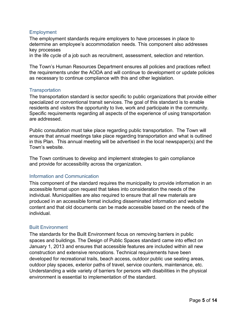#### **Employment**

 The employment standards require employers to have processes in place to determine an employee's accommodation needs. This component also addresses key processes

in the life cycle of a job such as recruitment, assessment, selection and retention.

 as necessary to continue compliance with this and other legislation. The Town's Human Resources Department ensures all policies and practices reflect the requirements under the AODA and will continue to development or update policies

#### **Transportation**

 The transportation standard is sector specific to public organizations that provide either specialized or conventional transit services. The goal of this standard is to enable residents and visitors the opportunity to live, work and participate in the community. Specific requirements regarding all aspects of the experience of using transportation are addressed.

 in this Plan. This annual meeting will be advertised in the local newspaper(s) and the Town's website. Public consultation must take place regarding public transportation. The Town will ensure that annual meetings take place regarding transportation and what is outlined

The Town continues to develop and implement strategies to gain compliance and provide for accessibility across the organization.

#### Information and Communication

 This component of the standard requires the municipality to provide information in an accessible format upon request that takes into consideration the needs of the individual. Municipalities are also required to ensure that all new materials are produced in an accessible format including disseminated information and website content and that old documents can be made accessible based on the needs of the individual.

#### Built Environment

 The standards for the Built Environment focus on removing barriers in public spaces and buildings. The Design of Public Spaces standard came into effect on January 1, 2013 and ensures that accessible features are included within all new construction and extensive renovations. Technical requirements have been developed for recreational trails, beach access, outdoor public use seating areas, Understanding a wide variety of barriers for persons with disabilities in the physical environment is essential to implementation of the standard. outdoor play spaces, exterior paths of travel, service counters, maintenance, etc.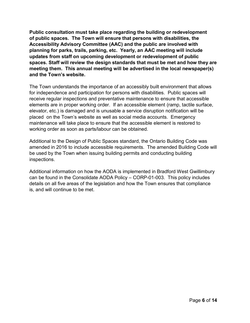**of public spaces. The Town will ensure that persons with disabilities, the Accessibility Advisory Committee (AAC) and the public are involved with spaces. Staff will review the design standards that must be met and how they are Public consultation must take place regarding the building or redevelopment planning for parks, trails, parking, etc. Yearly, an AAC meeting will include updates from staff on upcoming development or redevelopment of public meeting them. This annual meeting will be advertised in the local newspaper(s) and the Town's website.**

 The Town understands the importance of an accessibly built environment that allows for independence and participation for persons with disabilities. Public spaces will receive regular inspections and preventative maintenance to ensure that accessible elevator, etc.) is damaged and is unusable a service disruption notification will be placed on the Town's website as well as social media accounts. Emergency working order as soon as parts/labour can be obtained. elements are in proper working order. If an accessible element (ramp, tactile surface, maintenance will take place to ensure that the accessible element is restored to

 Additional to the Design of Public Spaces standard, the Ontario Building Code was amended in 2016 to include accessible requirements. The amended Building Code will be used by the Town when issuing building permits and conducting building inspections.

 details on all five areas of the legislation and how the Town ensures that compliance is, and will continue to be met. Additional information on how the AODA is implemented in Bradford West Gwillimbury can be found in the Consolidate AODA Policy – CORP-01-003. This policy includes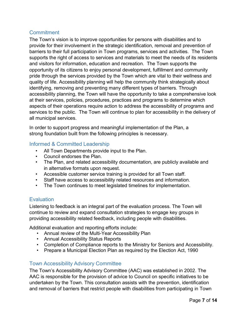# **Commitment**

 The Town's vision is to improve opportunities for persons with disabilities and to provide for their involvement in the strategic identification, removal and prevention of barriers to their full participation in Town programs, services and activities. The Town supports the right of access to services and materials to meet the needs of its residents opportunity of its citizens to enjoy personal development, fulfillment and community pride through the services provided by the Town which are vital to their wellness and quality of life. Accessibility planning will help the community think strategically about identifying, removing and preventing many different types of barriers. Through accessibility planning, the Town will have the opportunity to take a comprehensive look at their services, policies, procedures, practices and programs to determine which aspects of their operations require action to address the accessibility of programs and services to the public. The Town will continue to plan for accessibility in the delivery of and visitors for information, education and recreation. The Town supports the all municipal services.

 In order to support progress and meaningful implementation of the Plan, a strong foundation built from the following principles is necessary.

# Informed & Committed Leadership

- All Town Departments provide input to the Plan.
- Council endorses the Plan.
- • The Plan, and related accessibility documentation, are publicly available and in alternative formats upon request.
- Accessible customer service training is provided for all Town staff.
- Staff have access to accessibility related resources and information.
- The Town continues to meet legislated timelines for implementation.

# **Evaluation**

 Listening to feedback is an integral part of the evaluation process. The Town will continue to review and expand consultation strategies to engage key groups in providing accessibility related feedback, including people with disabilities.<br>Additional evaluation and reporting efforts include:

- Annual review of the Multi-Year Accessibility Plan
- Annual Accessibility Status Reports
- Completion of Compliance reports to the Ministry for Seniors and Accessibility.
- Prepare a Municipal Election Plan as required by the Election Act, 1990

# Town Accessibility Advisory Committee

 undertaken by the Town. This consultation assists with the prevention, identification The Town's Accessibility Advisory Committee (AAC) was established in 2002. The AAC is responsible for the provision of advice to Council on specific initiatives to be and removal of barriers that restrict people with disabilities from participating in Town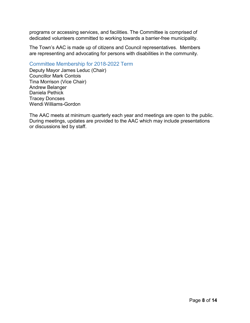dedicated volunteers committed to working towards a barrier-free municipality. programs or accessing services, and facilities. The Committee is comprised of

 The Town's AAC is made up of citizens and Council representatives. Members are representing and advocating for persons with disabilities in the community.

# Committee Membership for 2018-2022 Term

 Councillor Mark Contois Deputy Mayor James Leduc (Chair) Tina Morrison (Vice Chair) Andrew Belanger Daniela Pethick Tracey Doncses Wendi Williams-Gordon

 The AAC meets at minimum quarterly each year and meetings are open to the public. During meetings, updates are provided to the AAC which may include presentations or discussions led by staff.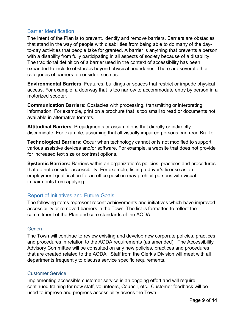# Barrier Identification

 that stand in the way of people with disabilities from being able to do many of the day- to-day activities that people take for granted. A barrier is anything that prevents a person The traditional definition of a barrier used in the context of accessibility has been expanded to include obstacles beyond physical boundaries. There are several other categories of barriers to consider, such as: The intent of the Plan is to prevent, identify and remove barriers. Barriers are obstacles with a disability from fully participating in all aspects of society because of a disability.

 access. For example, a doorway that is too narrow to accommodate entry by person in a **Environmental Barriers**: Features, buildings or spaces that restrict or impede physical motorized scooter.

 information. For example, print on a brochure that is too small to read or documents not available in alternative formats. **Communication Barriers**: Obstacles with processing, transmitting or interpreting

 discriminate. For example, assuming that all visually impaired persons can read Braille. **Attitudinal Barriers**: Prejudgments or assumptions that directly or indirectly

 **Technological Barriers:** Occur when technology cannot or is not modified to support for increased text size or contrast options. various assistive devices and/or software. For example, a website that does not provide

 that do not consider accessibility. For example, listing a driver's license as an employment qualification for an office position may prohibit persons with visual **Systemic Barriers:** Barriers within an organization's policies, practices and procedures impairments from applying.

# Report of Initiatives and Future Goals

 accessibility or removed barriers in the Town. The list is formatted to reflect the The following items represent recent achievements and initiatives which have improved commitment of the Plan and core standards of the AODA.

# **General**

 The Town will continue to review existing and develop new corporate policies, practices and procedures in relation to the AODA requirements (as amended). The Accessibility that are created related to the AODA. Staff from the Clerk's Division will meet with all departments frequently to discuss service specific requirements. Advisory Committee will be consulted on any new policies, practices and procedures

# Customer Service

 Implementing accessible customer service is an ongoing effort and will require continued training for new staff, volunteers, Council, etc. Customer feedback will be used to improve and progress accessibility across the Town.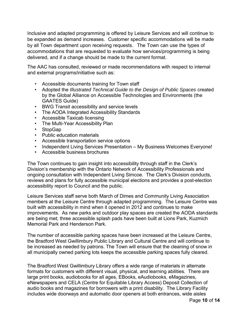Inclusive and adapted programming is offered by Leisure Services and will continue to be expanded as demand increases. Customer specific accommodations will be made by all Town department upon receiving requests. The Town can use the types of delivered, and if a change should be made to the current format. accommodations that are requested to evaluate how services/programming is being

 The AAC has consulted, reviewed or made recommendations with respect to internal and external programs/initiative such as:

- Accessible documents training for Town staff
- Adopted the *Illustrated Technical Guide to the Design of Public Spaces* created by the Global Alliance on Accessible Technologies and Environments (the GAATES Guide)
- BWG Transit accessibility and service levels
- The AODA Integrated Accessibility Standards
- Accessible Taxicab licensing
- The Multi-Year Accessibility Plan
- StopGap
- Public education materials
- Accessible transportation service options
- Independent Living Services Presentation My Business Welcomes Everyone!
- Accessible business brochures

 The Town continues to gain insight into accessibility through staff in the Clerk's Division's membership with the Ontario Network of Accessibility Professionals and ongoing consultation with Independent Living Simcoe. The Clerk's Division conducts, accessibility report to Council and the public. reviews and plans for fully accessible municipal elections and provides a post-election

accessibility report to Council and the public.<br>Leisure Services staff serve both March of Dimes and Community Living Association members at the Leisure Centre through adapted programming. The Leisure Centre was built with accessibility in mind when it opened in 2012 and continues to make improvements. As new parks and outdoor play spaces are created the AODA standards are being met; three accessible splash pads have been built at Lions Park, Kuzmich Memorial Park and Henderson Park.

 be increased as needed by patrons. The Town will ensure that the cleaning of snow in all municipally owned parking lots keeps the accessible parking spaces fully cleared. The number of accessible parking spaces have been increased at the Leisure Centre, the Bradford West Gwillimbury Public Library and Cultural Centre and will continue to

 formats for customers with different visual, physical, and learning abilities. There are large print books, audiobooks for all ages, EBooks, eAudiobooks, eMagazines, eNewspapers and CELA (Centre for Equitable Library Access) Deposit Collection of audio books and magazines for borrowers with a print disability. The Library Facility includes wide doorways and automatic door openers at both entrances, wide aisles The Bradford West Gwillimbury Library offers a wide range of materials in alternate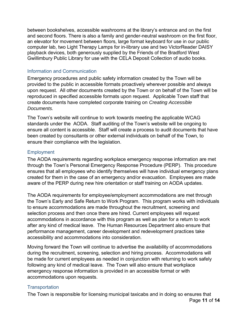an elevator for movement between floors, large format keyboard for use in our public computer lab, two Light Therapy Lamps for in-library use and two VictorReader DAISY between bookshelves, accessible washrooms at the library's entrance and on the first and second floors. There is also a family and gender-neutral washroom on the first floor, playback devices, both generously supplied by the Friends of the Bradford West Gwillimbury Public Library for use with the CELA Deposit Collection of audio books.

## Information and Communication

 Emergency procedures and public safety information created by the Town will be upon request. All other documents created by the Town or on behalf of the Town will be reproduced in specified accessible formats upon request. Applicable Town staff that create documents have completed corporate training on *Creating Accessible*  provided to the public in accessible formats proactively wherever possible and always *Documents.* 

 The Town's website will continue to work towards meeting the applicable WCAG ensure all content is accessible. Staff will create a process to audit documents that have been created by consultants or other external individuals on behalf of the Town, to standards under the AODA. Staff auditing of the Town's website will be ongoing to ensure their compliance with the legislation.

## **Employment**

The AODA requirements regarding workplace emergency response information are met through the Town's Personal Emergency Response Procedure (PERP). This procedure ensures that all employees who identify themselves will have individual emergency plans created for them in the case of an emergency and/or evacuation. Employees are made aware of the PERP during new hire orientation or staff training on AODA updates.

 The AODA requirements for employee/employment accommodations are met through selection process and then once there are hired. Current employees will request accommodations in accordance with this program as well as plan for a return to work after any kind of medical leave. The Human Resources Department also ensure that the Town's Early and Safe Return to Work Program. This program works with individuals to ensure accommodations are made throughout the recruitment, screening and performance management, career development and redevelopment practices take accessibility and accommodations into consideration.

 be made for current employees as needed in conjunction with returning to work safely following any kind of medical leave. The Town will also ensure that workplace Moving forward the Town will continue to advertise the availability of accommodations during the recruitment, screening, selection and hiring process. Accommodations will emergency response information is provided in an accessible format or with accommodations upon requests.

#### **Transportation**

The Town is responsible for licensing municipal taxicabs and in doing so ensures that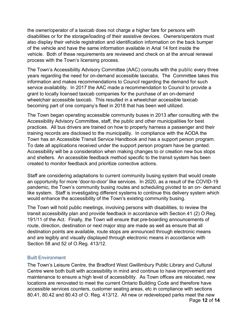the owner/operator of a taxicab does not charge a higher fare for persons with disabilities or for the storage/loading of their assistive devices. Owners/operators must also display their vehicle registration and identification information on the back bumper of the vehicle and have the same information available in Arial 14 font inside the vehicle. Both of these requirements are reviewed and check on at the annual renewal process with the Town's licensing process.

 information and makes recommendations to Council regarding the demand for such service availability. In 2017 the AAC made a recommendation to Council to provide a grant to locally licensed taxicab companies for the purchase of an on-demand wheelchair accessible taxicab. This resulted in a wheelchair accessible taxicab becoming part of one company's fleet in 2018 that has been well utilized. The Town's Accessibility Advisory Committee (AAC) consults with the public every three years regarding the need for on-demand accessible taxicabs. The Committee takes this

 The Town began operating accessible community buses in 2013 after consulting with the practices. All bus drivers are trained on how to properly harness a passenger and their Town has an Accessible Transit Service Handbook and has a support person program. To date all applications received under the support person program have be granted. and shelters. An accessible feedback method specific to the transit system has been created to monitor feedback and prioritize corrective actions. Accessibility Advisory Committee, staff, the public and other municipalities for best training records are disclosed to the municipality. In compliance with the AODA the Accessibility will be a consideration when making changes to or creation new bus stops

 Staff are considering adaptations to current community busing system that would create an opportunity for more 'door-to-door' like services. In 2020, as a result of the COVID-19 pandemic, the Town's community busing routes and scheduling pivoted to an on- demand like system. Staff is investigating different systems to continue this delivery system which would enhance the accessibility of the Town's existing community busing.

 The Town will hold public meetings, involving persons with disabilities, to review the transit accessibility plan and provide feedback in accordance with Section 41 (2) O.Reg. route, direction, destination or next major stop are made as well as ensure that all destination points are available, route stops are announced through electronic means and are legibly and visually displayed through electronic means in accordance with Section 58 and 52 of O.Reg. 413/12. 191/11 of the Act. Finally, the Town will ensure that pre-boarding announcements of

#### Built Environment

 maintenance to ensure a high level of accessibility. As Town offices are relocated, new locations are renovated to meet the current Ontario Building Code and therefore have 80.41, 80.42 and 80.43 of O. Reg. 413/12. All new or redeveloped parks meet the new The Town's Leisure Centre, the Bradford West Gwillimbury Public Library and Cultural Centre were both built with accessibility in mind and continue to have improvement and accessible services counters, customer seating areas, etc in compliance with sections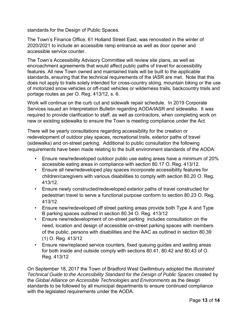standards for the Design of Public Spaces.

 2020/2021 to include an accessible ramp entrance as well as door opener and The Town's Finance Office, 61 Holland Street East, was renovated in the winter of accessible service counter.

 The Town's Accessibility Advisory Committee will review site plans, as well as encroachment agreements that would affect public paths of travel for accessibility features. All new Town owned and maintained trails will be built to the applicable standards, ensuring that the technical requirements of the IASR are met. Note that this does not apply to trails solely intended for cross-country skiing, mountain biking or the use of motorized snow vehicles or off-road vehicles or wilderness trails, backcountry trails and portage routes as per O. Reg. 413/12, s. 6.

 required to provide clarification to staff, as well as contractors, when completing work on new or existing sidewalks to ensure the Town is meeting compliance under the Act. Work will continue on the curb cut and sidewalk repair schedule. In 2019 Corporate Services issued an Interpretation Bulletin regarding AODA/IASR and sidewalks. It was

 There will be yearly consultations regarding accessibility for the creation or redevelopment of outdoor play spaces, recreational trails, exterior paths of travel requirements have been made relating to the built environment standards of the AODA: (sidewalks) and on-street parking. Additional to public consultation the following

- • Ensure new/redeveloped outdoor public use eating areas have a minimum of 20% accessible eating areas in compliance with section 80.17 O. Reg. 413/12.
- Ensure all new/redeveloped play spaces incorporate accessibility features for children/caregivers with various disabilities to comply with section 80.20 O. Reg. 413/12.
- Ensure newly constructed/redeveloped exterior paths of travel constructed for pedestrian travel to serve a functional purpose conform to section 80.23 O. Reg. 413/12.
- Ensure new/redeveloped off street parking areas provide both Type A and Type B parking spaces outlined in section 80.34 O. Reg. 413/12
- of the public, persons with disabilities and the AAC as outlined in section 80.39 • Ensure new/redevelopment of on-street parking includes consultation on the need, location and design of accessible on-street parking spaces with members (1) O. Reg. 413/12
- Ensure new/replaced service counters, fixed queuing guides and waiting areas for both inside and outside comply with sections 80.41, 80.42 and 80.43 of O. Reg. 413/12

 On September 18, 2017 the Town of Bradford West Gwillimbury adopted the *Illustrated Technical Guide to the Accessibility Standard for the Design of Public Spaces* created by the *Global Alliance on Accessible Technologies and Environments* as the design standards to be followed by all municipal departments to ensure continued compliance with the legislated requirements under the AODA.